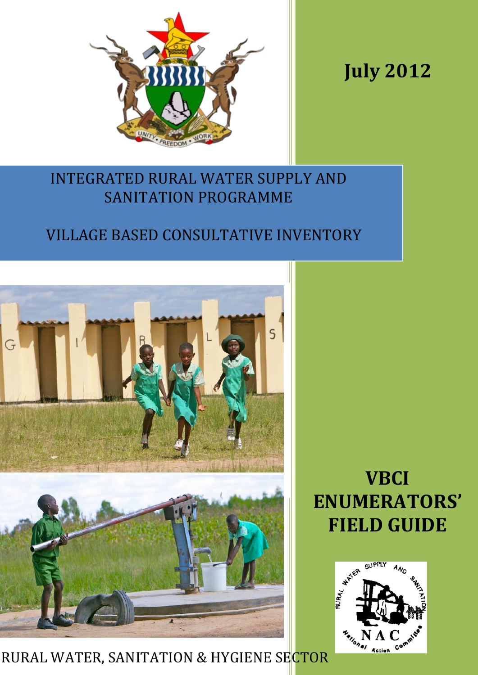

**July 2012**

## INTEGRATED RURAL WATER SUPPLY AND SANITATION PROGRAMME

# VILLAGE BASED CONSULTATIVE INVENTORY



RURAL WATER, SANITATION & HYGIENE SECTOR

# **VBCI ENUMERATORS' FIELD GUIDE**

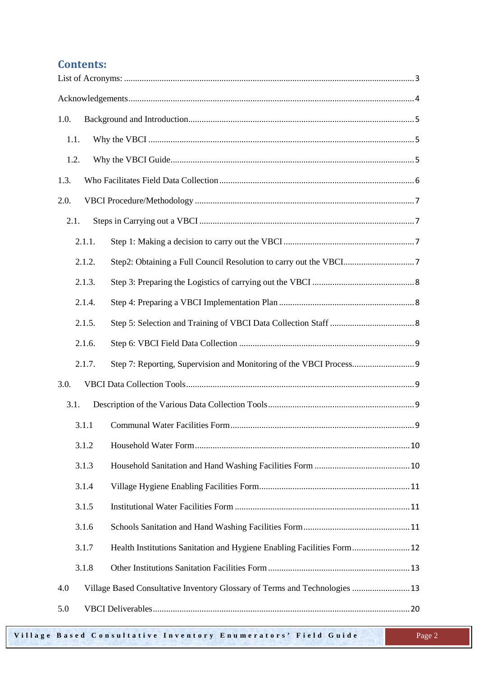### **Contents:**

| 1.0.   |                                                                             |
|--------|-----------------------------------------------------------------------------|
| 1.1.   |                                                                             |
| 1.2.   |                                                                             |
| 1.3.   |                                                                             |
| 2.0.   |                                                                             |
| 2.1.   |                                                                             |
| 2.1.1. |                                                                             |
| 2.1.2. |                                                                             |
| 2.1.3. |                                                                             |
| 2.1.4. |                                                                             |
| 2.1.5. |                                                                             |
| 2.1.6. |                                                                             |
| 2.1.7. |                                                                             |
| 3.0.   |                                                                             |
| 3.1.   |                                                                             |
| 3.1.1  |                                                                             |
| 3.1.2  |                                                                             |
| 3.1.3  |                                                                             |
| 3.1.4  |                                                                             |
| 3.1.5  |                                                                             |
| 3.1.6  |                                                                             |
| 3.1.7  | Health Institutions Sanitation and Hygiene Enabling Facilities Form 12      |
| 3.1.8  |                                                                             |
| 4.0    | Village Based Consultative Inventory Glossary of Terms and Technologies  13 |
| 5.0    |                                                                             |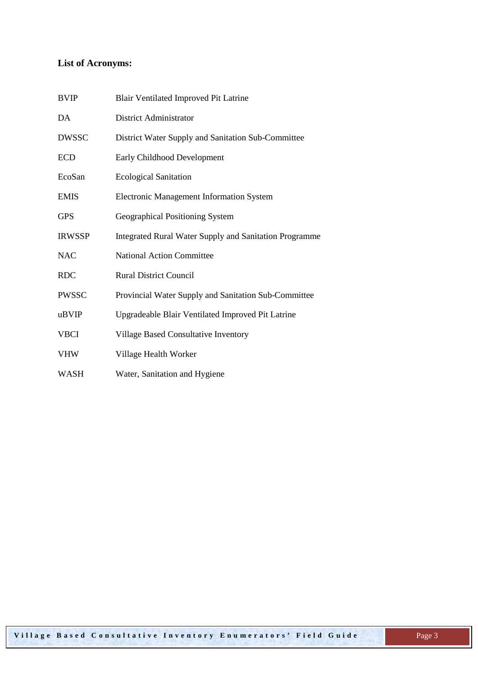## <span id="page-2-0"></span>**List of Acronyms:**

| <b>BVIP</b>   | <b>Blair Ventilated Improved Pit Latrine</b>                  |
|---------------|---------------------------------------------------------------|
| DA            | <b>District Administrator</b>                                 |
| <b>DWSSC</b>  | District Water Supply and Sanitation Sub-Committee            |
| <b>ECD</b>    | Early Childhood Development                                   |
| EcoSan        | <b>Ecological Sanitation</b>                                  |
| <b>EMIS</b>   | <b>Electronic Management Information System</b>               |
| <b>GPS</b>    | Geographical Positioning System                               |
| <b>IRWSSP</b> | <b>Integrated Rural Water Supply and Sanitation Programme</b> |
| <b>NAC</b>    | <b>National Action Committee</b>                              |
| <b>RDC</b>    | <b>Rural District Council</b>                                 |
| <b>PWSSC</b>  | Provincial Water Supply and Sanitation Sub-Committee          |
| uBVIP         | Upgradeable Blair Ventilated Improved Pit Latrine             |
| <b>VBCI</b>   | Village Based Consultative Inventory                          |
| <b>VHW</b>    | Village Health Worker                                         |
| <b>WASH</b>   | Water, Sanitation and Hygiene                                 |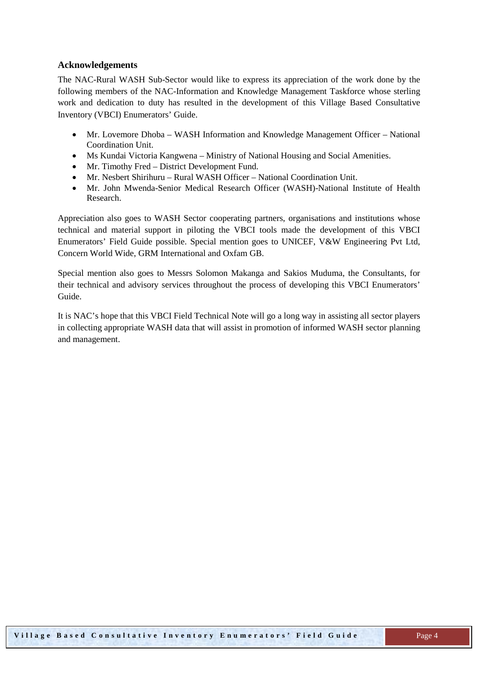#### <span id="page-3-0"></span>**Acknowledgements**

The NAC-Rural WASH Sub-Sector would like to express its appreciation of the work done by the following members of the NAC-Information and Knowledge Management Taskforce whose sterling work and dedication to duty has resulted in the development of this Village Based Consultative Inventory (VBCI) Enumerators' Guide.

- Mr. Lovemore Dhoba WASH Information and Knowledge Management Officer National Coordination Unit.
- Ms Kundai Victoria Kangwena Ministry of National Housing and Social Amenities.
- Mr. Timothy Fred District Development Fund.
- Mr. Nesbert Shirihuru Rural WASH Officer National Coordination Unit.
- Mr. John Mwenda-Senior Medical Research Officer (WASH)-National Institute of Health Research.

Appreciation also goes to WASH Sector cooperating partners, organisations and institutions whose technical and material support in piloting the VBCI tools made the development of this VBCI Enumerators' Field Guide possible. Special mention goes to UNICEF, V&W Engineering Pvt Ltd, Concern World Wide, GRM International and Oxfam GB.

Special mention also goes to Messrs Solomon Makanga and Sakios Muduma, the Consultants, for their technical and advisory services throughout the process of developing this VBCI Enumerators' Guide.

It is NAC's hope that this VBCI Field Technical Note will go a long way in assisting all sector players in collecting appropriate WASH data that will assist in promotion of informed WASH sector planning and management.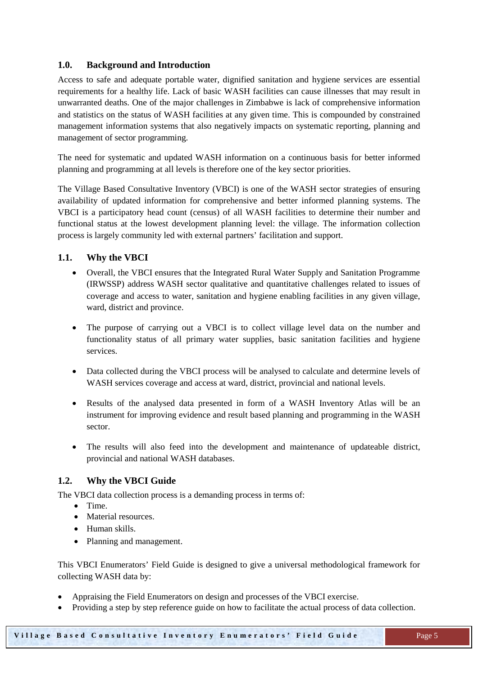#### <span id="page-4-0"></span>**1.0. Background and Introduction**

Access to safe and adequate portable water, dignified sanitation and hygiene services are essential requirements for a healthy life. Lack of basic WASH facilities can cause illnesses that may result in unwarranted deaths. One of the major challenges in Zimbabwe is lack of comprehensive information and statistics on the status of WASH facilities at any given time. This is compounded by constrained management information systems that also negatively impacts on systematic reporting, planning and management of sector programming.

The need for systematic and updated WASH information on a continuous basis for better informed planning and programming at all levels is therefore one of the key sector priorities.

The Village Based Consultative Inventory (VBCI) is one of the WASH sector strategies of ensuring availability of updated information for comprehensive and better informed planning systems. The VBCI is a participatory head count (census) of all WASH facilities to determine their number and functional status at the lowest development planning level: the village. The information collection process is largely community led with external partners' facilitation and support.

#### <span id="page-4-1"></span>**1.1. Why the VBCI**

- Overall, the VBCI ensures that the Integrated Rural Water Supply and Sanitation Programme (IRWSSP) address WASH sector qualitative and quantitative challenges related to issues of coverage and access to water, sanitation and hygiene enabling facilities in any given village, ward, district and province.
- The purpose of carrying out a VBCI is to collect village level data on the number and functionality status of all primary water supplies, basic sanitation facilities and hygiene services.
- Data collected during the VBCI process will be analysed to calculate and determine levels of WASH services coverage and access at ward, district, provincial and national levels.
- Results of the analysed data presented in form of a WASH Inventory Atlas will be an instrument for improving evidence and result based planning and programming in the WASH sector.
- The results will also feed into the development and maintenance of updateable district, provincial and national WASH databases.

#### <span id="page-4-2"></span>**1.2. Why the VBCI Guide**

The VBCI data collection process is a demanding process in terms of:

- Time.
- Material resources
- Human skills.
- Planning and management.

This VBCI Enumerators' Field Guide is designed to give a universal methodological framework for collecting WASH data by:

- Appraising the Field Enumerators on design and processes of the VBCI exercise.
- Providing a step by step reference guide on how to facilitate the actual process of data collection.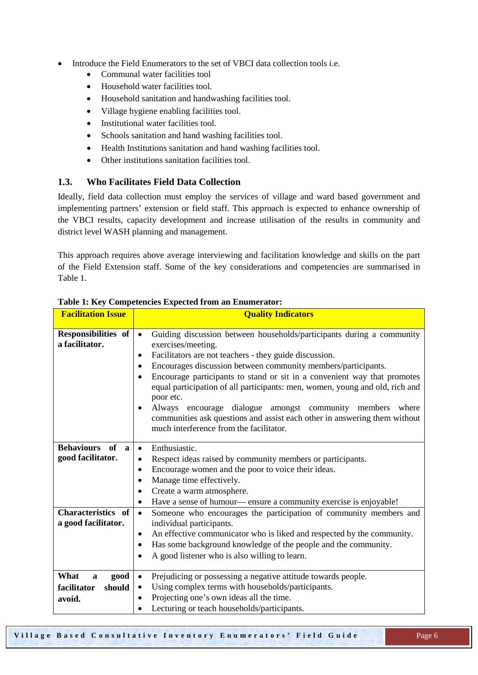- Introduce the Field Enumerators to the set of VBCI data collection tools i.e.
	- Communal water facilities tool
	- Household water facilities tool.
	- Household sanitation and handwashing facilities tool.
	- Village hygiene enabling facilities tool.
	- Institutional water facilities tool.
	- Schools sanitation and hand washing facilities tool.
	- Health Institutions sanitation and hand washing facilities tool.
	- Other institutions sanitation facilities tool.

#### <span id="page-5-0"></span>**1.3. Who Facilitates Field Data Collection**

Ideally, field data collection must employ the services of village and ward based government and implementing partners' extension or field staff. This approach is expected to enhance ownership of the VBCI results, capacity development and increase utilisation of the results in community and district level WASH planning and management.

This approach requires above average interviewing and facilitation knowledge and skills on the part of the Field Extension staff. Some of the key considerations and competencies are summarised in Table 1.

| <b>Facilitation Issue</b>               | <b>Quality Indicators</b>                                                             |
|-----------------------------------------|---------------------------------------------------------------------------------------|
|                                         |                                                                                       |
| Responsibilities of                     | Guiding discussion between households/participants during a community<br>$\bullet$    |
| a facilitator.                          | exercises/meeting.                                                                    |
|                                         | Facilitators are not teachers - they guide discussion.<br>$\bullet$                   |
|                                         | Encourages discussion between community members/participants.                         |
|                                         | Encourage participants to stand or sit in a convenient way that promotes<br>$\bullet$ |
|                                         | equal participation of all participants: men, women, young and old, rich and          |
|                                         | poor etc.                                                                             |
|                                         | Always encourage dialogue amongst community members<br>where<br>$\bullet$             |
|                                         | communities ask questions and assist each other in answering them without             |
|                                         | much interference from the facilitator.                                               |
|                                         |                                                                                       |
| <b>Behaviours</b><br>of<br>$\mathbf{a}$ | Enthusiastic.<br>$\bullet$                                                            |
| good facilitator.                       | Respect ideas raised by community members or participants.<br>$\bullet$               |
|                                         | Encourage women and the poor to voice their ideas.<br>٠                               |
|                                         | Manage time effectively.                                                              |
|                                         | Create a warm atmosphere.<br>$\bullet$                                                |
|                                         | Have a sense of humour— ensure a community exercise is enjoyable!<br>$\bullet$        |
| <b>Characteristics</b> of               | Someone who encourages the participation of community members and<br>$\bullet$        |
| a good facilitator.                     | individual participants.                                                              |
|                                         | An effective communicator who is liked and respected by the community.<br>٠           |
|                                         | Has some background knowledge of the people and the community.                        |
|                                         | A good listener who is also willing to learn.<br>$\bullet$                            |
|                                         |                                                                                       |
| What<br>good<br>$\mathbf{a}$            | Prejudicing or possessing a negative attitude towards people.<br>$\bullet$            |
| facilitator<br>should                   | Using complex terms with households/participants.<br>$\bullet$                        |
| avoid.                                  | Projecting one's own ideas all the time.<br>$\bullet$                                 |
|                                         | Lecturing or teach households/participants.<br>$\bullet$                              |

**Table 1: Key Competencies Expected from an Enumerator:**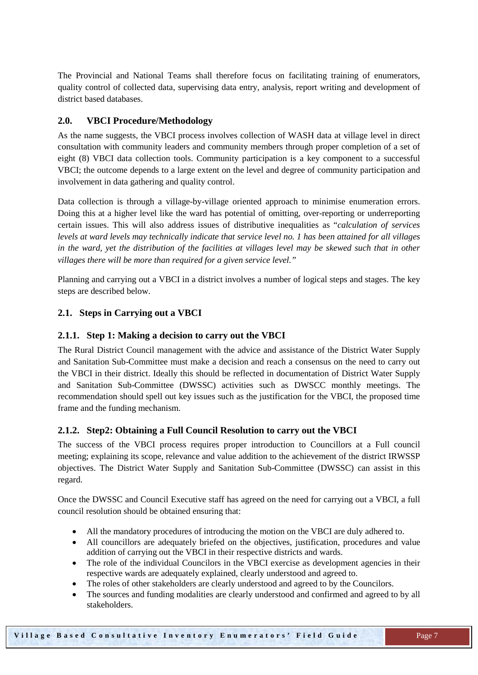The Provincial and National Teams shall therefore focus on facilitating training of enumerators, quality control of collected data, supervising data entry, analysis, report writing and development of district based databases.

#### <span id="page-6-0"></span>**2.0. VBCI Procedure/Methodology**

As the name suggests, the VBCI process involves collection of WASH data at village level in direct consultation with community leaders and community members through proper completion of a set of eight (8) VBCI data collection tools. Community participation is a key component to a successful VBCI; the outcome depends to a large extent on the level and degree of community participation and involvement in data gathering and quality control.

Data collection is through a village-by-village oriented approach to minimise enumeration errors. Doing this at a higher level like the ward has potential of omitting, over-reporting or underreporting certain issues. This will also address issues of distributive inequalities as "*calculation of services levels at ward levels may technically indicate that service level no. 1 has been attained for all villages in the ward, yet the distribution of the facilities at villages level may be skewed such that in other villages there will be more than required for a given service level."*

Planning and carrying out a VBCI in a district involves a number of logical steps and stages. The key steps are described below.

#### <span id="page-6-1"></span>**2.1. Steps in Carrying out a VBCI**

#### <span id="page-6-2"></span>**2.1.1. Step 1: Making a decision to carry out the VBCI**

The Rural District Council management with the advice and assistance of the District Water Supply and Sanitation Sub-Committee must make a decision and reach a consensus on the need to carry out the VBCI in their district. Ideally this should be reflected in documentation of District Water Supply and Sanitation Sub-Committee (DWSSC) activities such as DWSCC monthly meetings. The recommendation should spell out key issues such as the justification for the VBCI, the proposed time frame and the funding mechanism.

#### <span id="page-6-3"></span>**2.1.2. Step2: Obtaining a Full Council Resolution to carry out the VBCI**

The success of the VBCI process requires proper introduction to Councillors at a Full council meeting; explaining its scope, relevance and value addition to the achievement of the district IRWSSP objectives. The District Water Supply and Sanitation Sub-Committee (DWSSC) can assist in this regard.

Once the DWSSC and Council Executive staff has agreed on the need for carrying out a VBCI, a full council resolution should be obtained ensuring that:

- All the mandatory procedures of introducing the motion on the VBCI are duly adhered to.
- All councillors are adequately briefed on the objectives, justification, procedures and value addition of carrying out the VBCI in their respective districts and wards.
- The role of the individual Councilors in the VBCI exercise as development agencies in their respective wards are adequately explained, clearly understood and agreed to.
- The roles of other stakeholders are clearly understood and agreed to by the Councilors.
- The sources and funding modalities are clearly understood and confirmed and agreed to by all stakeholders.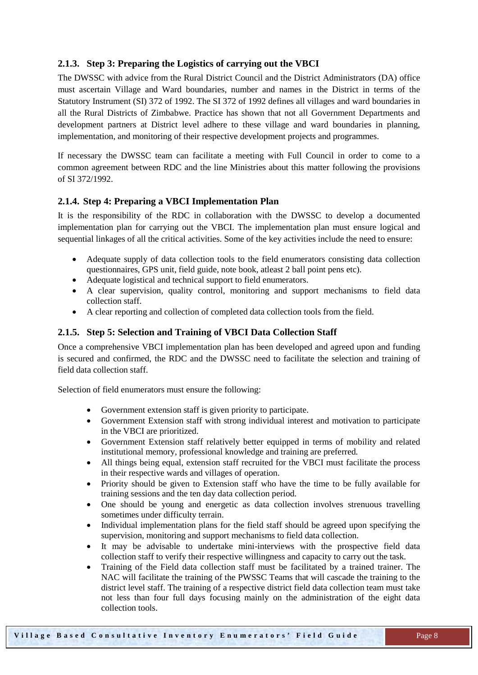#### <span id="page-7-0"></span>**2.1.3. Step 3: Preparing the Logistics of carrying out the VBCI**

The DWSSC with advice from the Rural District Council and the District Administrators (DA) office must ascertain Village and Ward boundaries, number and names in the District in terms of the Statutory Instrument (SI) 372 of 1992. The SI 372 of 1992 defines all villages and ward boundaries in all the Rural Districts of Zimbabwe. Practice has shown that not all Government Departments and development partners at District level adhere to these village and ward boundaries in planning, implementation, and monitoring of their respective development projects and programmes.

If necessary the DWSSC team can facilitate a meeting with Full Council in order to come to a common agreement between RDC and the line Ministries about this matter following the provisions of SI 372/1992.

#### <span id="page-7-1"></span>**2.1.4. Step 4: Preparing a VBCI Implementation Plan**

It is the responsibility of the RDC in collaboration with the DWSSC to develop a documented implementation plan for carrying out the VBCI. The implementation plan must ensure logical and sequential linkages of all the critical activities. Some of the key activities include the need to ensure:

- Adequate supply of data collection tools to the field enumerators consisting data collection questionnaires, GPS unit, field guide, note book, atleast 2 ball point pens etc).
- Adequate logistical and technical support to field enumerators.
- A clear supervision, quality control, monitoring and support mechanisms to field data collection staff.
- A clear reporting and collection of completed data collection tools from the field.

#### <span id="page-7-2"></span>**2.1.5. Step 5: Selection and Training of VBCI Data Collection Staff**

Once a comprehensive VBCI implementation plan has been developed and agreed upon and funding is secured and confirmed, the RDC and the DWSSC need to facilitate the selection and training of field data collection staff.

Selection of field enumerators must ensure the following:

- Government extension staff is given priority to participate.
- Government Extension staff with strong individual interest and motivation to participate in the VBCI are prioritized.
- Government Extension staff relatively better equipped in terms of mobility and related institutional memory, professional knowledge and training are preferred.
- All things being equal, extension staff recruited for the VBCI must facilitate the process in their respective wards and villages of operation.
- Priority should be given to Extension staff who have the time to be fully available for training sessions and the ten day data collection period.
- One should be young and energetic as data collection involves strenuous travelling sometimes under difficulty terrain.
- Individual implementation plans for the field staff should be agreed upon specifying the supervision, monitoring and support mechanisms to field data collection.
- It may be advisable to undertake mini-interviews with the prospective field data collection staff to verify their respective willingness and capacity to carry out the task.
- Training of the Field data collection staff must be facilitated by a trained trainer. The NAC will facilitate the training of the PWSSC Teams that will cascade the training to the district level staff. The training of a respective district field data collection team must take not less than four full days focusing mainly on the administration of the eight data collection tools.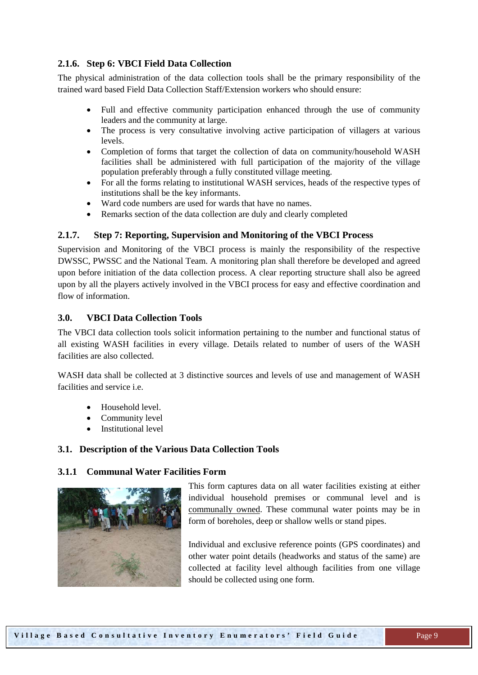#### <span id="page-8-0"></span>**2.1.6. Step 6: VBCI Field Data Collection**

The physical administration of the data collection tools shall be the primary responsibility of the trained ward based Field Data Collection Staff/Extension workers who should ensure:

- Full and effective community participation enhanced through the use of community leaders and the community at large.
- The process is very consultative involving active participation of villagers at various levels.
- Completion of forms that target the collection of data on community/household WASH facilities shall be administered with full participation of the majority of the village population preferably through a fully constituted village meeting.
- For all the forms relating to institutional WASH services, heads of the respective types of institutions shall be the key informants.
- Ward code numbers are used for wards that have no names.
- <span id="page-8-1"></span>• Remarks section of the data collection are duly and clearly completed

#### **2.1.7. Step 7: Reporting, Supervision and Monitoring of the VBCI Process**

Supervision and Monitoring of the VBCI process is mainly the responsibility of the respective DWSSC, PWSSC and the National Team. A monitoring plan shall therefore be developed and agreed upon before initiation of the data collection process. A clear reporting structure shall also be agreed upon by all the players actively involved in the VBCI process for easy and effective coordination and flow of information.

#### <span id="page-8-2"></span>**3.0. VBCI Data Collection Tools**

The VBCI data collection tools solicit information pertaining to the number and functional status of all existing WASH facilities in every village. Details related to number of users of the WASH facilities are also collected.

WASH data shall be collected at 3 distinctive sources and levels of use and management of WASH facilities and service i.e.

- Household level.
- Community level
- Institutional level

#### <span id="page-8-3"></span>**3.1. Description of the Various Data Collection Tools**

#### <span id="page-8-4"></span>**3.1.1 Communal Water Facilities Form**



This form captures data on all water facilities existing at either individual household premises or communal level and is communally owned. These communal water points may be in form of boreholes, deep or shallow wells or stand pipes.

Individual and exclusive reference points (GPS coordinates) and other water point details (headworks and status of the same) are collected at facility level although facilities from one village should be collected using one form.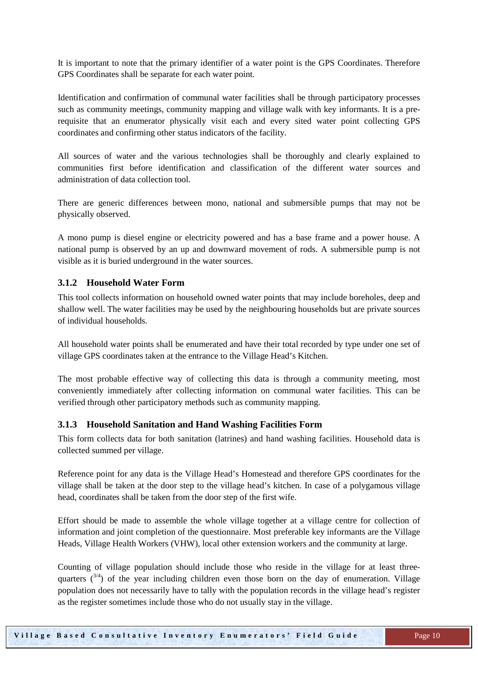It is important to note that the primary identifier of a water point is the GPS Coordinates. Therefore GPS Coordinates shall be separate for each water point.

Identification and confirmation of communal water facilities shall be through participatory processes such as community meetings, community mapping and village walk with key informants. It is a prerequisite that an enumerator physically visit each and every sited water point collecting GPS coordinates and confirming other status indicators of the facility.

All sources of water and the various technologies shall be thoroughly and clearly explained to communities first before identification and classification of the different water sources and administration of data collection tool.

There are generic differences between mono, national and submersible pumps that may not be physically observed.

A mono pump is diesel engine or electricity powered and has a base frame and a power house. A national pump is observed by an up and downward movement of rods. A submersible pump is not visible as it is buried underground in the water sources.

#### <span id="page-9-0"></span>**3.1.2 Household Water Form**

This tool collects information on household owned water points that may include boreholes, deep and shallow well. The water facilities may be used by the neighbouring households but are private sources of individual households.

All household water points shall be enumerated and have their total recorded by type under one set of village GPS coordinates taken at the entrance to the Village Head's Kitchen.

The most probable effective way of collecting this data is through a community meeting, most conveniently immediately after collecting information on communal water facilities. This can be verified through other participatory methods such as community mapping.

#### <span id="page-9-1"></span>**3.1.3 Household Sanitation and Hand Washing Facilities Form**

This form collects data for both sanitation (latrines) and hand washing facilities. Household data is collected summed per village.

Reference point for any data is the Village Head's Homestead and therefore GPS coordinates for the village shall be taken at the door step to the village head's kitchen. In case of a polygamous village head, coordinates shall be taken from the door step of the first wife.

Effort should be made to assemble the whole village together at a village centre for collection of information and joint completion of the questionnaire. Most preferable key informants are the Village Heads, Village Health Workers (VHW), local other extension workers and the community at large.

Counting of village population should include those who reside in the village for at least threequarters  $(3/4)$  of the year including children even those born on the day of enumeration. Village population does not necessarily have to tally with the population records in the village head's register as the register sometimes include those who do not usually stay in the village.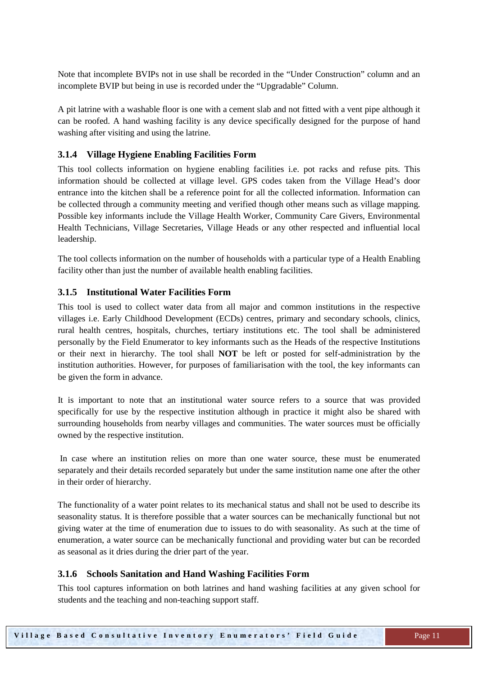Note that incomplete BVIPs not in use shall be recorded in the "Under Construction" column and an incomplete BVIP but being in use is recorded under the "Upgradable" Column.

A pit latrine with a washable floor is one with a cement slab and not fitted with a vent pipe although it can be roofed. A hand washing facility is any device specifically designed for the purpose of hand washing after visiting and using the latrine.

#### <span id="page-10-0"></span>**3.1.4 Village Hygiene Enabling Facilities Form**

This tool collects information on hygiene enabling facilities i.e. pot racks and refuse pits. This information should be collected at village level. GPS codes taken from the Village Head's door entrance into the kitchen shall be a reference point for all the collected information. Information can be collected through a community meeting and verified though other means such as village mapping. Possible key informants include the Village Health Worker, Community Care Givers, Environmental Health Technicians, Village Secretaries, Village Heads or any other respected and influential local leadership.

The tool collects information on the number of households with a particular type of a Health Enabling facility other than just the number of available health enabling facilities.

#### <span id="page-10-1"></span>**3.1.5 Institutional Water Facilities Form**

This tool is used to collect water data from all major and common institutions in the respective villages i.e. Early Childhood Development (ECDs) centres, primary and secondary schools, clinics, rural health centres, hospitals, churches, tertiary institutions etc. The tool shall be administered personally by the Field Enumerator to key informants such as the Heads of the respective Institutions or their next in hierarchy. The tool shall **NOT** be left or posted for self-administration by the institution authorities. However, for purposes of familiarisation with the tool, the key informants can be given the form in advance.

It is important to note that an institutional water source refers to a source that was provided specifically for use by the respective institution although in practice it might also be shared with surrounding households from nearby villages and communities. The water sources must be officially owned by the respective institution.

In case where an institution relies on more than one water source, these must be enumerated separately and their details recorded separately but under the same institution name one after the other in their order of hierarchy.

The functionality of a water point relates to its mechanical status and shall not be used to describe its seasonality status. It is therefore possible that a water sources can be mechanically functional but not giving water at the time of enumeration due to issues to do with seasonality. As such at the time of enumeration, a water source can be mechanically functional and providing water but can be recorded as seasonal as it dries during the drier part of the year.

#### <span id="page-10-2"></span>**3.1.6 Schools Sanitation and Hand Washing Facilities Form**

This tool captures information on both latrines and hand washing facilities at any given school for students and the teaching and non-teaching support staff.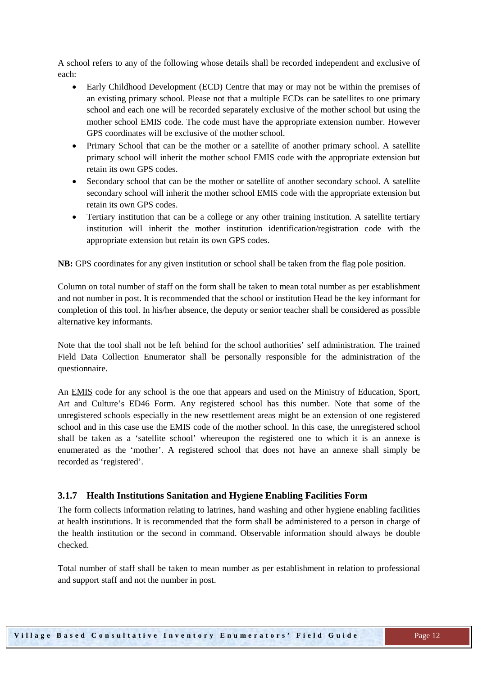A school refers to any of the following whose details shall be recorded independent and exclusive of each:

- Early Childhood Development (ECD) Centre that may or may not be within the premises of an existing primary school. Please not that a multiple ECDs can be satellites to one primary school and each one will be recorded separately exclusive of the mother school but using the mother school EMIS code. The code must have the appropriate extension number. However GPS coordinates will be exclusive of the mother school.
- Primary School that can be the mother or a satellite of another primary school. A satellite primary school will inherit the mother school EMIS code with the appropriate extension but retain its own GPS codes.
- Secondary school that can be the mother or satellite of another secondary school. A satellite secondary school will inherit the mother school EMIS code with the appropriate extension but retain its own GPS codes.
- Tertiary institution that can be a college or any other training institution. A satellite tertiary institution will inherit the mother institution identification/registration code with the appropriate extension but retain its own GPS codes.

**NB:** GPS coordinates for any given institution or school shall be taken from the flag pole position.

Column on total number of staff on the form shall be taken to mean total number as per establishment and not number in post. It is recommended that the school or institution Head be the key informant for completion of this tool. In his/her absence, the deputy or senior teacher shall be considered as possible alternative key informants.

Note that the tool shall not be left behind for the school authorities' self administration. The trained Field Data Collection Enumerator shall be personally responsible for the administration of the questionnaire.

An EMIS code for any school is the one that appears and used on the Ministry of Education, Sport, Art and Culture's ED46 Form. Any registered school has this number. Note that some of the unregistered schools especially in the new resettlement areas might be an extension of one registered school and in this case use the EMIS code of the mother school. In this case, the unregistered school shall be taken as a 'satellite school' whereupon the registered one to which it is an annexe is enumerated as the 'mother'. A registered school that does not have an annexe shall simply be recorded as 'registered'.

#### <span id="page-11-0"></span>**3.1.7 Health Institutions Sanitation and Hygiene Enabling Facilities Form**

The form collects information relating to latrines, hand washing and other hygiene enabling facilities at health institutions. It is recommended that the form shall be administered to a person in charge of the health institution or the second in command. Observable information should always be double checked.

Total number of staff shall be taken to mean number as per establishment in relation to professional and support staff and not the number in post.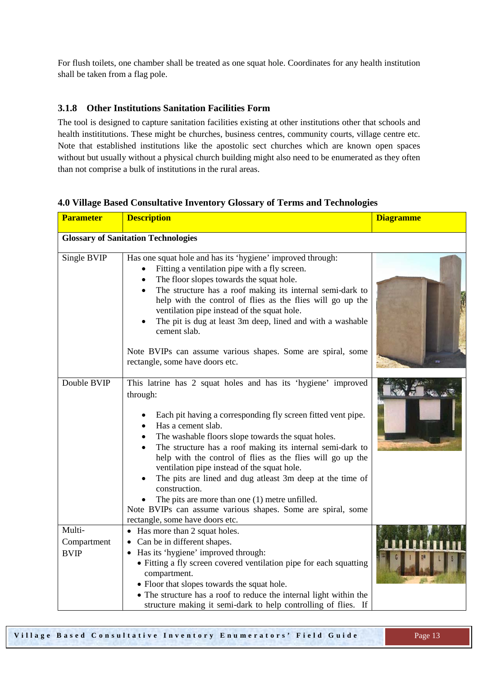For flush toilets, one chamber shall be treated as one squat hole. Coordinates for any health institution shall be taken from a flag pole.

#### <span id="page-12-0"></span>**3.1.8 Other Institutions Sanitation Facilities Form**

The tool is designed to capture sanitation facilities existing at other institutions other that schools and health instititutions. These might be churches, business centres, community courts, village centre etc. Note that established institutions like the apostolic sect churches which are known open spaces without but usually without a physical church building might also need to be enumerated as they often than not comprise a bulk of institutions in the rural areas.

| <b>Parameter</b>                     | <b>Description</b>                                                                                                                                                                                                                                                                                                                                                                                                                                                                                                                                                                                                                               | <b>Diagramme</b> |
|--------------------------------------|--------------------------------------------------------------------------------------------------------------------------------------------------------------------------------------------------------------------------------------------------------------------------------------------------------------------------------------------------------------------------------------------------------------------------------------------------------------------------------------------------------------------------------------------------------------------------------------------------------------------------------------------------|------------------|
|                                      | <b>Glossary of Sanitation Technologies</b>                                                                                                                                                                                                                                                                                                                                                                                                                                                                                                                                                                                                       |                  |
| Single BVIP                          | Has one squat hole and has its 'hygiene' improved through:<br>Fitting a ventilation pipe with a fly screen.<br>The floor slopes towards the squat hole.<br>The structure has a roof making its internal semi-dark to<br>$\bullet$<br>help with the control of flies as the flies will go up the<br>ventilation pipe instead of the squat hole.<br>The pit is dug at least 3m deep, lined and with a washable<br>cement slab.<br>Note BVIPs can assume various shapes. Some are spiral, some<br>rectangle, some have doors etc.                                                                                                                   |                  |
| Double BVIP                          | This latrine has 2 squat holes and has its 'hygiene' improved<br>through:<br>Each pit having a corresponding fly screen fitted vent pipe.<br>Has a cement slab.<br>The washable floors slope towards the squat holes.<br>$\bullet$<br>The structure has a roof making its internal semi-dark to<br>help with the control of flies as the flies will go up the<br>ventilation pipe instead of the squat hole.<br>The pits are lined and dug atleast 3m deep at the time of<br>construction.<br>The pits are more than one $(1)$ metre unfilled.<br>Note BVIPs can assume various shapes. Some are spiral, some<br>rectangle, some have doors etc. |                  |
| Multi-<br>Compartment<br><b>BVIP</b> | • Has more than 2 squat holes.<br>• Can be in different shapes.<br>• Has its 'hygiene' improved through:<br>• Fitting a fly screen covered ventilation pipe for each squatting<br>compartment.<br>• Floor that slopes towards the squat hole.<br>• The structure has a roof to reduce the internal light within the<br>structure making it semi-dark to help controlling of flies. If                                                                                                                                                                                                                                                            |                  |

#### <span id="page-12-1"></span>**4.0 Village Based Consultative Inventory Glossary of Terms and Technologies**

**Village Based Consultative Inventory Enumerators' Field Guide** Page 13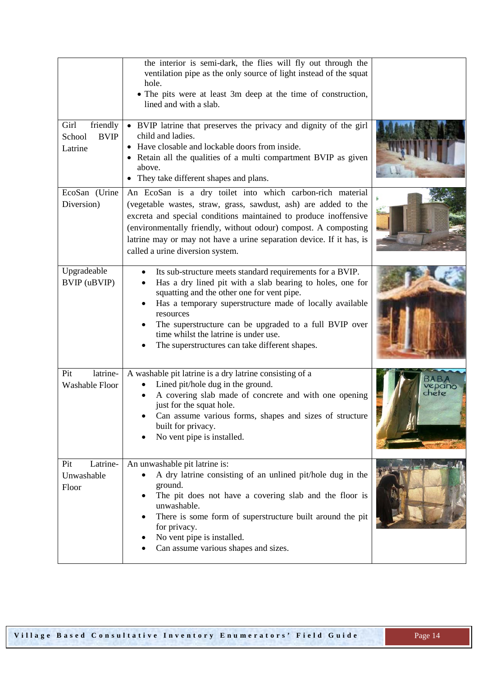|                                                      | the interior is semi-dark, the flies will fly out through the<br>ventilation pipe as the only source of light instead of the squat<br>hole.<br>• The pits were at least 3m deep at the time of construction,<br>lined and with a slab.                                                                                                                                                             |                       |
|------------------------------------------------------|----------------------------------------------------------------------------------------------------------------------------------------------------------------------------------------------------------------------------------------------------------------------------------------------------------------------------------------------------------------------------------------------------|-----------------------|
| Girl<br>friendly<br>School<br><b>BVIP</b><br>Latrine | • BVIP latrine that preserves the privacy and dignity of the girl<br>child and ladies.<br>• Have closable and lockable doors from inside.<br>• Retain all the qualities of a multi compartment BVIP as given<br>above.<br>They take different shapes and plans.<br>$\bullet$                                                                                                                       |                       |
| EcoSan (Urine<br>Diversion)                          | An EcoSan is a dry toilet into which carbon-rich material<br>(vegetable wastes, straw, grass, sawdust, ash) are added to the<br>excreta and special conditions maintained to produce inoffensive<br>(environmentally friendly, without odour) compost. A composting<br>latrine may or may not have a urine separation device. If it has, is<br>called a urine diversion system.                    |                       |
| Upgradeable<br>BVIP (uBVIP)                          | Its sub-structure meets standard requirements for a BVIP.<br>Has a dry lined pit with a slab bearing to holes, one for<br>squatting and the other one for vent pipe.<br>Has a temporary superstructure made of locally available<br>resources<br>The superstructure can be upgraded to a full BVIP over<br>time whilst the latrine is under use.<br>The superstructures can take different shapes. |                       |
| latrine-<br>Pit<br>Washable Floor                    | A washable pit latrine is a dry latrine consisting of a<br>Lined pit/hole dug in the ground.<br>A covering slab made of concrete and with one opening<br>just for the squat hole.<br>Can assume various forms, shapes and sizes of structure<br>built for privacy.<br>No vent pipe is installed.                                                                                                   | <b>epano</b><br>chete |
| Latrine-<br>Pit<br>Unwashable<br>Floor               | An unwashable pit latrine is:<br>A dry latrine consisting of an unlined pit/hole dug in the<br>ground.<br>The pit does not have a covering slab and the floor is<br>unwashable.<br>There is some form of superstructure built around the pit<br>for privacy.<br>No vent pipe is installed.<br>Can assume various shapes and sizes.                                                                 |                       |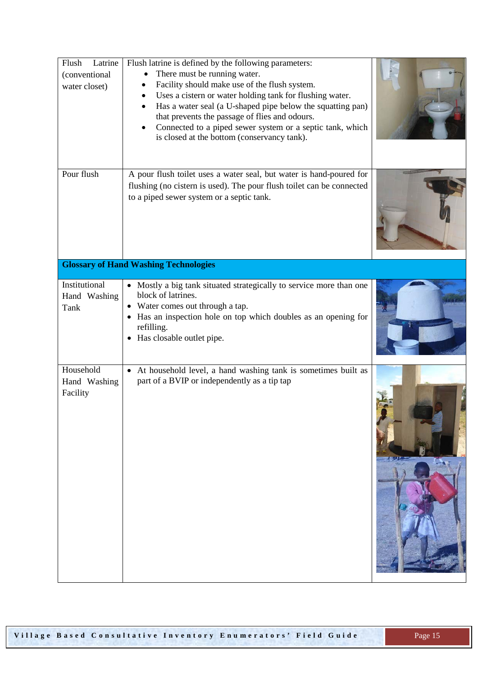| Latrine<br>Flush<br>(conventional<br>water closet) | Flush latrine is defined by the following parameters:<br>There must be running water.<br>$\bullet$<br>Facility should make use of the flush system.<br>Uses a cistern or water holding tank for flushing water.<br>Has a water seal (a U-shaped pipe below the squatting pan)<br>$\bullet$<br>that prevents the passage of flies and odours.<br>Connected to a piped sewer system or a septic tank, which<br>is closed at the bottom (conservancy tank). |  |
|----------------------------------------------------|----------------------------------------------------------------------------------------------------------------------------------------------------------------------------------------------------------------------------------------------------------------------------------------------------------------------------------------------------------------------------------------------------------------------------------------------------------|--|
| Pour flush                                         | A pour flush toilet uses a water seal, but water is hand-poured for<br>flushing (no cistern is used). The pour flush toilet can be connected<br>to a piped sewer system or a septic tank.                                                                                                                                                                                                                                                                |  |
|                                                    | <b>Glossary of Hand Washing Technologies</b>                                                                                                                                                                                                                                                                                                                                                                                                             |  |
| Institutional<br>Hand Washing<br>Tank              | • Mostly a big tank situated strategically to service more than one<br>block of latrines.<br>• Water comes out through a tap.<br>• Has an inspection hole on top which doubles as an opening for<br>refilling.<br>• Has closable outlet pipe.                                                                                                                                                                                                            |  |
| Household<br>Hand Washing<br>Facility              | • At household level, a hand washing tank is sometimes built as<br>part of a BVIP or independently as a tip tap                                                                                                                                                                                                                                                                                                                                          |  |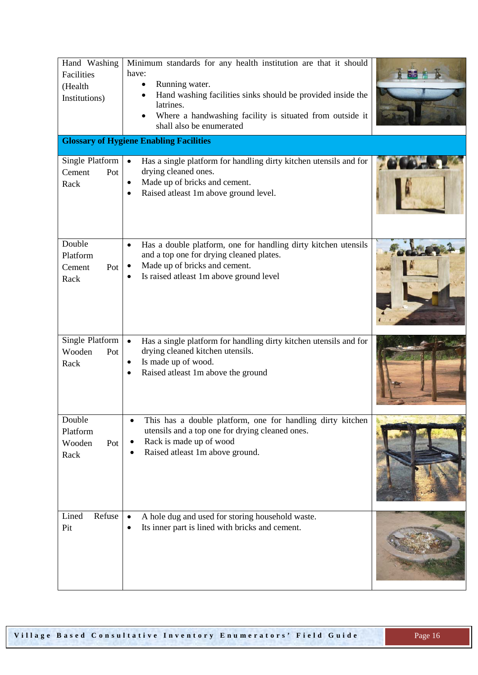| Hand Washing<br>Facilities<br>(Health<br>Institutions) | Minimum standards for any health institution are that it should<br>have:<br>Running water.<br>Hand washing facilities sinks should be provided inside the<br>latrines.<br>Where a handwashing facility is situated from outside it<br>shall also be enumerated |  |
|--------------------------------------------------------|----------------------------------------------------------------------------------------------------------------------------------------------------------------------------------------------------------------------------------------------------------------|--|
|                                                        | <b>Glossary of Hygiene Enabling Facilities</b>                                                                                                                                                                                                                 |  |
| Single Platform<br>Cement<br>Pot<br>Rack               | Has a single platform for handling dirty kitchen utensils and for<br>$\bullet$<br>drying cleaned ones.<br>Made up of bricks and cement.<br>$\bullet$<br>Raised atleast 1m above ground level.                                                                  |  |
| Double<br>Platform<br>Cement<br>Pot<br>Rack            | Has a double platform, one for handling dirty kitchen utensils<br>$\bullet$<br>and a top one for drying cleaned plates.<br>Made up of bricks and cement.<br>$\bullet$<br>Is raised atleast 1m above ground level                                               |  |
| Single Platform<br>Wooden<br>Pot<br>Rack               | Has a single platform for handling dirty kitchen utensils and for<br>$\bullet$<br>drying cleaned kitchen utensils.<br>Is made up of wood.<br>٠<br>Raised atleast 1m above the ground                                                                           |  |
| Double<br>Platform<br>Wooden<br>Pot<br>Rack            | This has a double platform, one for handling dirty kitchen<br>utensils and a top one for drying cleaned ones.<br>Rack is made up of wood<br>Raised atleast 1m above ground.                                                                                    |  |
| Lined<br>Refuse<br>Pit                                 | A hole dug and used for storing household waste.<br>$\bullet$<br>Its inner part is lined with bricks and cement.                                                                                                                                               |  |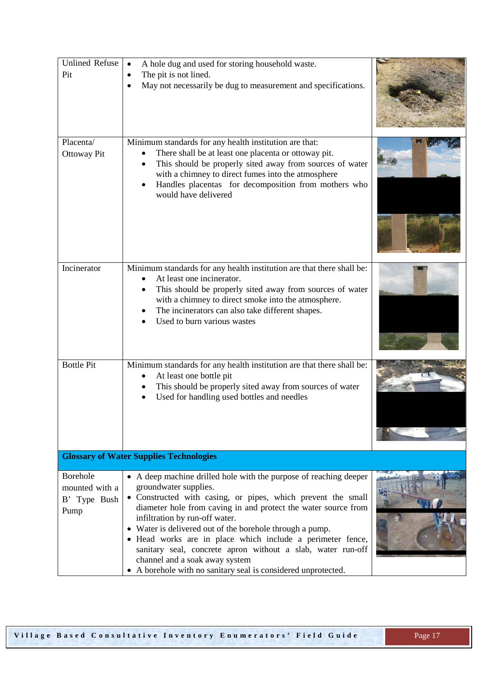| <b>Unlined Refuse</b><br>Pit                              | A hole dug and used for storing household waste.<br>$\bullet$<br>The pit is not lined.<br>$\bullet$<br>May not necessarily be dug to measurement and specifications.                                                                                                                                                                                                                                                                                                                                                                                       |  |
|-----------------------------------------------------------|------------------------------------------------------------------------------------------------------------------------------------------------------------------------------------------------------------------------------------------------------------------------------------------------------------------------------------------------------------------------------------------------------------------------------------------------------------------------------------------------------------------------------------------------------------|--|
| Placenta/<br><b>Ottoway Pit</b>                           | Minimum standards for any health institution are that:<br>There shall be at least one placenta or ottoway pit.<br>This should be properly sited away from sources of water<br>with a chimney to direct fumes into the atmosphere<br>Handles placentas for decomposition from mothers who<br>would have delivered                                                                                                                                                                                                                                           |  |
| Incinerator                                               | Minimum standards for any health institution are that there shall be:<br>At least one incinerator.<br>This should be properly sited away from sources of water<br>with a chimney to direct smoke into the atmosphere.<br>The incinerators can also take different shapes.<br>Used to burn various wastes                                                                                                                                                                                                                                                   |  |
| <b>Bottle Pit</b>                                         | Minimum standards for any health institution are that there shall be:<br>At least one bottle pit<br>This should be properly sited away from sources of water<br>Used for handling used bottles and needles                                                                                                                                                                                                                                                                                                                                                 |  |
|                                                           | <b>Glossary of Water Supplies Technologies</b>                                                                                                                                                                                                                                                                                                                                                                                                                                                                                                             |  |
| <b>Borehole</b><br>mounted with a<br>B' Type Bush<br>Pump | • A deep machine drilled hole with the purpose of reaching deeper<br>groundwater supplies.<br>• Constructed with casing, or pipes, which prevent the small<br>diameter hole from caving in and protect the water source from<br>infiltration by run-off water.<br>• Water is delivered out of the borehole through a pump.<br>• Head works are in place which include a perimeter fence,<br>sanitary seal, concrete apron without a slab, water run-off<br>channel and a soak away system<br>• A borehole with no sanitary seal is considered unprotected. |  |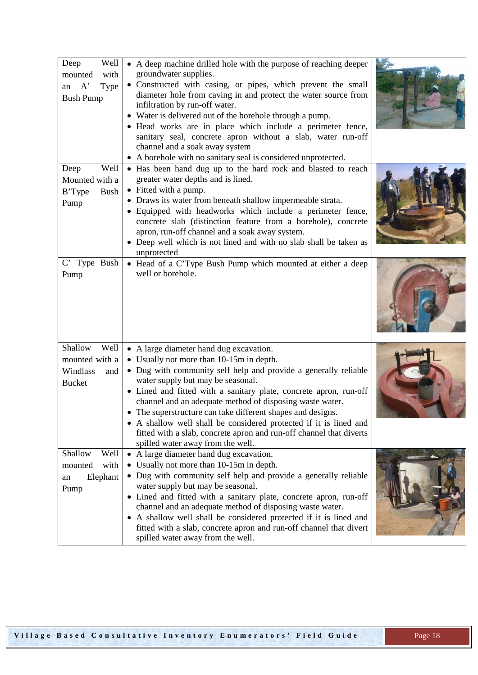| Well<br>Deep<br>with<br>mounted<br>A'<br>Type<br>an<br><b>Bush Pump</b> | • A deep machine drilled hole with the purpose of reaching deeper<br>groundwater supplies.<br>• Constructed with casing, or pipes, which prevent the small<br>diameter hole from caving in and protect the water source from<br>infiltration by run-off water.<br>• Water is delivered out of the borehole through a pump.<br>• Head works are in place which include a perimeter fence,<br>sanitary seal, concrete apron without a slab, water run-off<br>channel and a soak away system<br>• A borehole with no sanitary seal is considered unprotected.                   |  |
|-------------------------------------------------------------------------|------------------------------------------------------------------------------------------------------------------------------------------------------------------------------------------------------------------------------------------------------------------------------------------------------------------------------------------------------------------------------------------------------------------------------------------------------------------------------------------------------------------------------------------------------------------------------|--|
| Well<br>Deep<br>Mounted with a<br>B'Type<br><b>Bush</b><br>Pump         | • Has been hand dug up to the hard rock and blasted to reach<br>greater water depths and is lined.<br>• Fitted with a pump.<br>• Draws its water from beneath shallow impermeable strata.<br>• Equipped with headworks which include a perimeter fence,<br>concrete slab (distinction feature from a borehole), concrete<br>apron, run-off channel and a soak away system.<br>• Deep well which is not lined and with no slab shall be taken as<br>unprotected                                                                                                               |  |
| C' Type Bush<br>Pump                                                    | • Head of a C'Type Bush Pump which mounted at either a deep<br>well or borehole.                                                                                                                                                                                                                                                                                                                                                                                                                                                                                             |  |
| Shallow<br>Well<br>mounted with a<br>Windlass<br>and<br><b>Bucket</b>   | • A large diameter hand dug excavation.<br>• Usually not more than 10-15m in depth.<br>• Dug with community self help and provide a generally reliable<br>water supply but may be seasonal.<br>• Lined and fitted with a sanitary plate, concrete apron, run-off<br>channel and an adequate method of disposing waste water.<br>• The superstructure can take different shapes and designs.<br>• A shallow well shall be considered protected if it is lined and<br>fitted with a slab, concrete apron and run-off channel that diverts<br>spilled water away from the well. |  |
| Shallow<br>Well<br>with<br>mounted<br>Elephant<br>an<br>Pump            | • A large diameter hand dug excavation.<br>• Usually not more than 10-15m in depth.<br>• Dug with community self help and provide a generally reliable<br>water supply but may be seasonal.<br>• Lined and fitted with a sanitary plate, concrete apron, run-off<br>channel and an adequate method of disposing waste water.<br>• A shallow well shall be considered protected if it is lined and<br>fitted with a slab, concrete apron and run-off channel that divert<br>spilled water away from the well.                                                                 |  |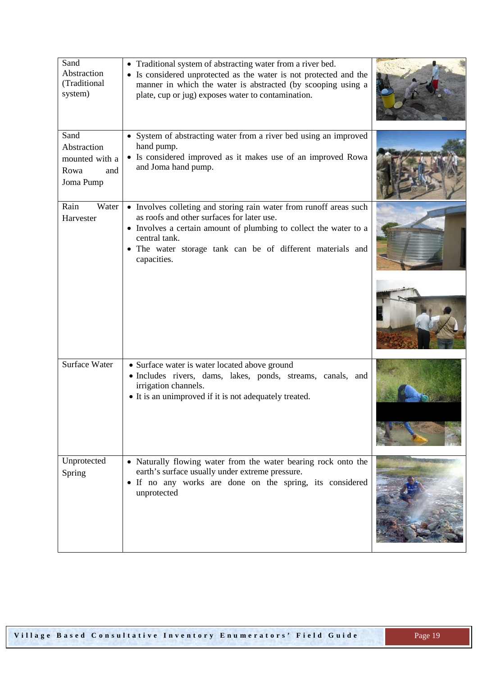| Sand<br>Abstraction<br>(Traditional<br>system)                    | • Traditional system of abstracting water from a river bed.<br>• Is considered unprotected as the water is not protected and the<br>manner in which the water is abstracted (by scooping using a<br>plate, cup or jug) exposes water to contamination.                              |  |
|-------------------------------------------------------------------|-------------------------------------------------------------------------------------------------------------------------------------------------------------------------------------------------------------------------------------------------------------------------------------|--|
| Sand<br>Abstraction<br>mounted with a<br>Rowa<br>and<br>Joma Pump | • System of abstracting water from a river bed using an improved<br>hand pump.<br>• Is considered improved as it makes use of an improved Rowa<br>and Joma hand pump.                                                                                                               |  |
| Rain<br>Water<br>Harvester                                        | • Involves colleting and storing rain water from runoff areas such<br>as roofs and other surfaces for later use.<br>• Involves a certain amount of plumbing to collect the water to a<br>central tank.<br>• The water storage tank can be of different materials and<br>capacities. |  |
|                                                                   |                                                                                                                                                                                                                                                                                     |  |
| <b>Surface Water</b>                                              | • Surface water is water located above ground<br>· Includes rivers, dams, lakes, ponds, streams, canals, and<br>irrigation channels.<br>• It is an unimproved if it is not adequately treated.                                                                                      |  |
| Unprotected<br>Spring                                             | • Naturally flowing water from the water bearing rock onto the<br>earth's surface usually under extreme pressure.<br>• If no any works are done on the spring, its considered<br>unprotected                                                                                        |  |